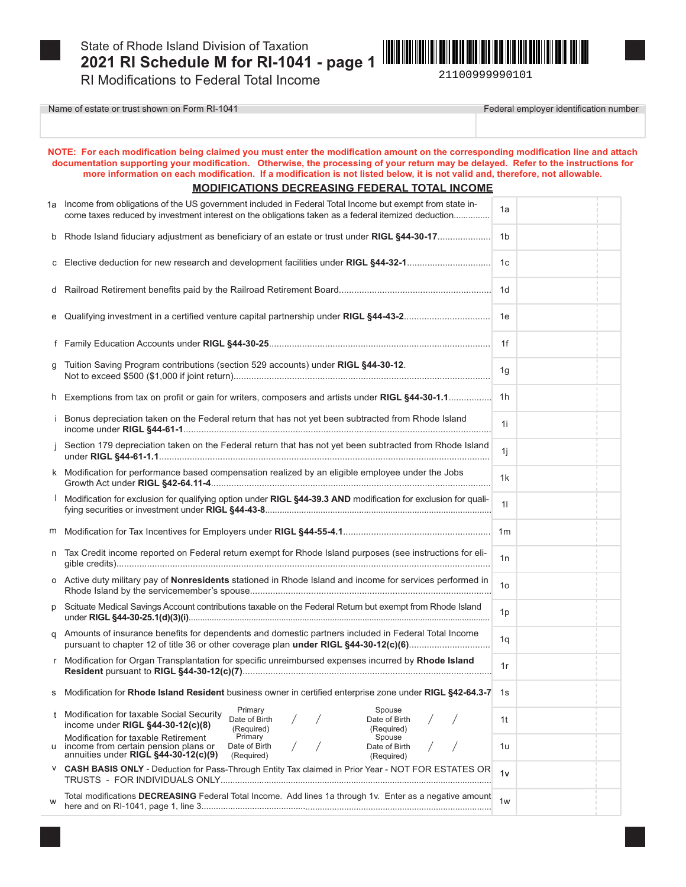

W

Name of estate or trust shown on Form RI-1041



Federal employer identification number

|                                                      | NOTE: For each modification being claimed you must enter the modification amount on the corresponding modification line and attach<br>documentation supporting your modification. Otherwise, the processing of your return may be delayed. Refer to the instructions for<br>more information on each modification. If a modification is not listed below, it is not valid and, therefore, not allowable. |                |  |  |
|------------------------------------------------------|----------------------------------------------------------------------------------------------------------------------------------------------------------------------------------------------------------------------------------------------------------------------------------------------------------------------------------------------------------------------------------------------------------|----------------|--|--|
| <b>MODIFICATIONS DECREASING FEDERAL TOTAL INCOME</b> |                                                                                                                                                                                                                                                                                                                                                                                                          |                |  |  |
|                                                      | 1a Income from obligations of the US government included in Federal Total Income but exempt from state in-<br>come taxes reduced by investment interest on the obligations taken as a federal itemized deduction                                                                                                                                                                                         | 1a             |  |  |
| b                                                    | Rhode Island fiduciary adjustment as beneficiary of an estate or trust under RIGL §44-30-17                                                                                                                                                                                                                                                                                                              | 1b             |  |  |
| С                                                    | Elective deduction for new research and development facilities under RIGL §44-32-1                                                                                                                                                                                                                                                                                                                       | 1c             |  |  |
| d                                                    |                                                                                                                                                                                                                                                                                                                                                                                                          | 1d             |  |  |
| е                                                    | Qualifying investment in a certified venture capital partnership under RIGL §44-43-2                                                                                                                                                                                                                                                                                                                     | 1е             |  |  |
| f.                                                   |                                                                                                                                                                                                                                                                                                                                                                                                          | 1f             |  |  |
| q                                                    | Tuition Saving Program contributions (section 529 accounts) under RIGL §44-30-12.                                                                                                                                                                                                                                                                                                                        | 1g             |  |  |
|                                                      | h Exemptions from tax on profit or gain for writers, composers and artists under RIGL §44-30-1.1                                                                                                                                                                                                                                                                                                         | 1h             |  |  |
| j.                                                   | Bonus depreciation taken on the Federal return that has not yet been subtracted from Rhode Island                                                                                                                                                                                                                                                                                                        | 1i             |  |  |
|                                                      | Section 179 depreciation taken on the Federal return that has not yet been subtracted from Rhode Island                                                                                                                                                                                                                                                                                                  | 1i             |  |  |
|                                                      | k Modification for performance based compensation realized by an eligible employee under the Jobs                                                                                                                                                                                                                                                                                                        | 1k             |  |  |
|                                                      | Modification for exclusion for qualifying option under RIGL §44-39.3 AND modification for exclusion for quali-                                                                                                                                                                                                                                                                                           | 11             |  |  |
| m                                                    |                                                                                                                                                                                                                                                                                                                                                                                                          | 1 <sub>m</sub> |  |  |
| n                                                    | Tax Credit income reported on Federal return exempt for Rhode Island purposes (see instructions for eli-                                                                                                                                                                                                                                                                                                 | 1n             |  |  |
|                                                      | o Active duty military pay of <b>Nonresidents</b> stationed in Rhode Island and income for services performed in                                                                                                                                                                                                                                                                                         | 1 <sub>o</sub> |  |  |
| р                                                    | Scituate Medical Savings Account contributions taxable on the Federal Return but exempt from Rhode Island                                                                                                                                                                                                                                                                                                | 1p             |  |  |
|                                                      | g Amounts of insurance benefits for dependents and domestic partners included in Federal Total Income<br>pursuant to chapter 12 of title 36 or other coverage plan under RIGL §44-30-12(c)(6)                                                                                                                                                                                                            | 1q             |  |  |
| $\mathsf{r}$                                         | Modification for Organ Transplantation for specific unreimbursed expenses incurred by Rhode Island                                                                                                                                                                                                                                                                                                       | 1r             |  |  |
| s                                                    | Modification for Rhode Island Resident business owner in certified enterprise zone under RIGL §42-64.3-7                                                                                                                                                                                                                                                                                                 | 1s             |  |  |
| t                                                    | Primary<br>Spouse<br>Modification for taxable Social Security<br>Date of Birth<br>Date of Birth<br>income under RIGL §44-30-12(c)(8)<br>(Required)<br>(Required)                                                                                                                                                                                                                                         | 1t             |  |  |
|                                                      | Primary<br>Modification for taxable Retirement<br>Spouse<br>Date of Birth<br>Date of Birth<br>income from certain pension plans or<br>annuities under RIGL §44-30-12(c)(9)<br>(Required)<br>(Required)                                                                                                                                                                                                   | 1u             |  |  |
| V                                                    | CASH BASIS ONLY - Deduction for Pass-Through Entity Tax claimed in Prior Year - NOT FOR ESTATES OR                                                                                                                                                                                                                                                                                                       | 1v             |  |  |
|                                                      |                                                                                                                                                                                                                                                                                                                                                                                                          |                |  |  |